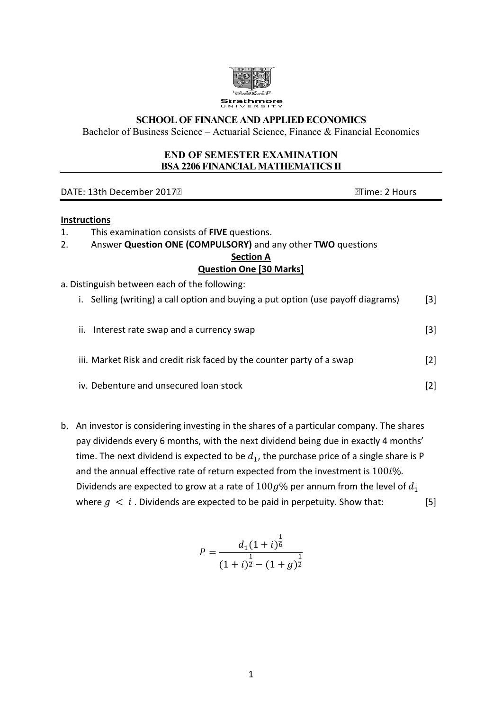

#### **SCHOOL OF FINANCE AND APPLIED ECONOMICS**

Bachelor of Business Science – Actuarial Science, Finance & Financial Economics

#### **END OF SEMESTER EXAMINATION BSA 2206 FINANCIAL MATHEMATICS II**

| DATE: 13th December 2017 <sup>®</sup>                                            | ि!Time: 2 Hours   |  |  |  |
|----------------------------------------------------------------------------------|-------------------|--|--|--|
| <b>Instructions</b>                                                              |                   |  |  |  |
| This examination consists of FIVE questions.<br>1.                               |                   |  |  |  |
| Answer Question ONE (COMPULSORY) and any other TWO questions<br>2.               |                   |  |  |  |
| <b>Section A</b>                                                                 |                   |  |  |  |
| <b>Question One [30 Marks]</b>                                                   |                   |  |  |  |
| a. Distinguish between each of the following:                                    |                   |  |  |  |
| i. Selling (writing) a call option and buying a put option (use payoff diagrams) | [3]               |  |  |  |
| ii. Interest rate swap and a currency swap                                       | [3]               |  |  |  |
| iii. Market Risk and credit risk faced by the counter party of a swap            | $[2]$             |  |  |  |
| iv. Debenture and unsecured loan stock                                           | $\lceil 2 \rceil$ |  |  |  |

b. An investor is considering investing in the shares of a particular company. The shares pay dividends every 6 months, with the next dividend being due in exactly 4 months' time. The next dividend is expected to be  $d_1$ , the purchase price of a single share is P and the annual effective rate of return expected from the investment is  $100i\%$ . Dividends are expected to grow at a rate of  $100g\%$  per annum from the level of  $d_1$ where  $g < i$ . Dividends are expected to be paid in perpetuity. Show that: [5]

$$
P = \frac{d_1(1+i)^{\frac{1}{6}}}{(1+i)^{\frac{1}{2}} - (1+g)^{\frac{1}{2}}}
$$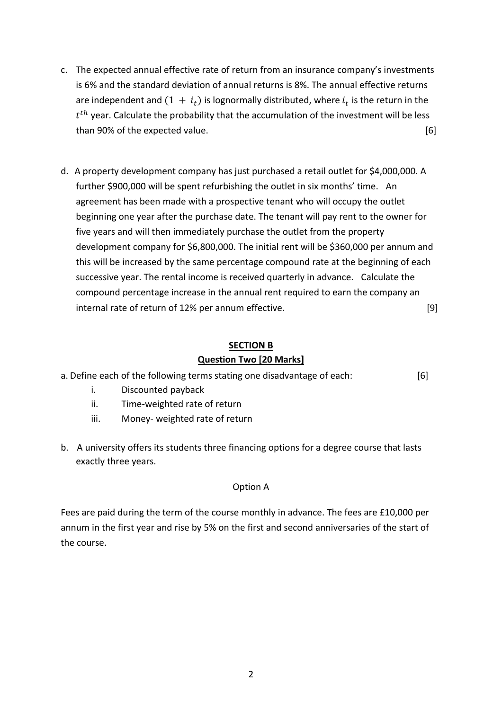- c. The expected annual effective rate of return from an insurance company's investments is 6% and the standard deviation of annual returns is 8%. The annual effective returns are independent and  $(1 + i_t)$  is lognormally distributed, where  $i_t$  is the return in the  $t^{th}$  year. Calculate the probability that the accumulation of the investment will be less than 90% of the expected value. **Example 2008** 16 and 2008 16 and 2008 16 and 2008 16 and 2008 16 and 2008 16 and 2008 16 and 2008 16 and 2008 16 and 2008 16 and 2008 16 and 2008 16 and 2008 16 and 2008 16 and 2008 16 and
- d. A property development company has just purchased a retail outlet for \$4,000,000. A further \$900,000 will be spent refurbishing the outlet in six months' time. An agreement has been made with a prospective tenant who will occupy the outlet beginning one year after the purchase date. The tenant will pay rent to the owner for five years and will then immediately purchase the outlet from the property development company for \$6,800,000. The initial rent will be \$360,000 per annum and this will be increased by the same percentage compound rate at the beginning of each successive year. The rental income is received quarterly in advance. Calculate the compound percentage increase in the annual rent required to earn the company an  $\frac{19}{19}$  internal rate of return of 12% per annum effective.

# **SECTION B**

# **Question Two [20 Marks]**

| a. Define each of the following terms stating one disadvantage of each: | [6] |
|-------------------------------------------------------------------------|-----|
|-------------------------------------------------------------------------|-----|

- i. Discounted payback
- ii. Time-weighted rate of return
- iii. Money- weighted rate of return
- b. A university offers its students three financing options for a degree course that lasts exactly three years.

# Option A

Fees are paid during the term of the course monthly in advance. The fees are  $£10,000$  per annum in the first year and rise by 5% on the first and second anniversaries of the start of the course.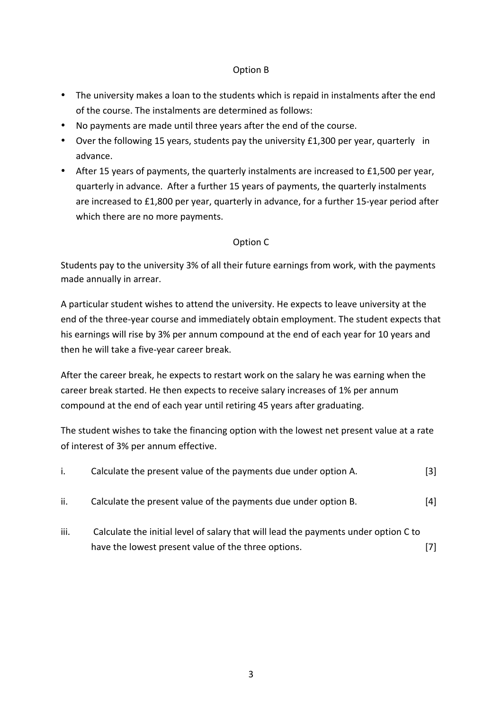## Option B

- The university makes a loan to the students which is repaid in instalments after the end of the course. The instalments are determined as follows:
- No payments are made until three years after the end of the course.
- Over the following 15 years, students pay the university  $£1,300$  per year, quarterly in advance.
- After 15 years of payments, the quarterly instalments are increased to £1,500 per year, quarterly in advance. After a further 15 years of payments, the quarterly instalments are increased to £1,800 per year, quarterly in advance, for a further 15-year period after which there are no more payments.

# Option C

Students pay to the university 3% of all their future earnings from work, with the payments made annually in arrear.

A particular student wishes to attend the university. He expects to leave university at the end of the three-year course and immediately obtain employment. The student expects that his earnings will rise by 3% per annum compound at the end of each year for 10 years and then he will take a five-year career break.

After the career break, he expects to restart work on the salary he was earning when the career break started. He then expects to receive salary increases of 1% per annum compound at the end of each year until retiring 45 years after graduating.

The student wishes to take the financing option with the lowest net present value at a rate of interest of 3% per annum effective.

|     | Calculate the present value of the payments due under option A. | $\lceil 3 \rceil$ |
|-----|-----------------------------------------------------------------|-------------------|
| ii. | Calculate the present value of the payments due under option B. | $\lceil 4 \rceil$ |

 $i$ iii. Calculate the initial level of salary that will lead the payments under option C to have the lowest present value of the three options. [7] [7]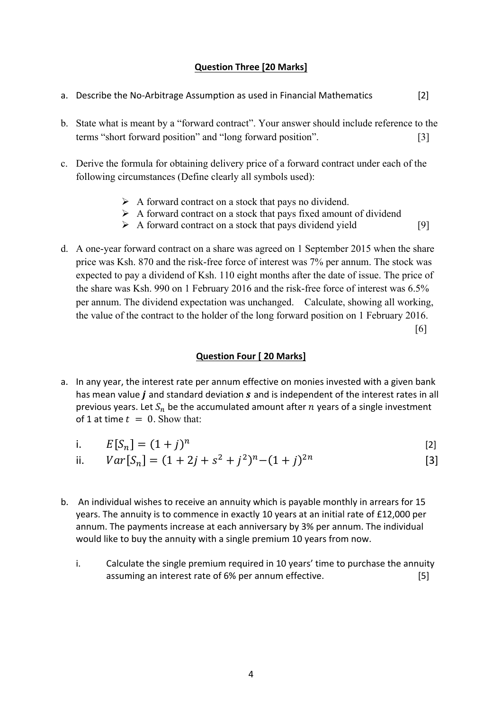# **Question Three [20 Marks]**

- a. Describe the No-Arbitrage Assumption as used in Financial Mathematics [2] b. State what is meant by a "forward contract". Your answer should include reference to the terms "short forward position" and "long forward position". [3] c. Derive the formula for obtaining delivery price of a forward contract under each of the following circumstances (Define clearly all symbols used):  $\triangleright$  A forward contract on a stock that pays no dividend.  $\triangleright$  A forward contract on a stock that pays fixed amount of dividend  $\triangleright$  A forward contract on a stock that pays dividend yield [9]
- d. A one-year forward contract on a share was agreed on 1 September 2015 when the share price was Ksh. 870 and the risk-free force of interest was 7% per annum. The stock was expected to pay a dividend of Ksh. 110 eight months after the date of issue. The price of the share was Ksh. 990 on 1 February 2016 and the risk-free force of interest was 6.5% per annum. The dividend expectation was unchanged. Calculate, showing all working, the value of the contract to the holder of the long forward position on 1 February 2016. [6]

#### **Question Four [ 20 Marks]**

a. In any year, the interest rate per annum effective on monies invested with a given bank has mean value  $\boldsymbol{i}$  and standard deviation  $\boldsymbol{s}$  and is independent of the interest rates in all previous years. Let  $S_n$  be the accumulated amount after  $n$  years of a single investment of 1 at time  $t = 0$ . Show that:

i. 
$$
E[S_n] = (1 + j)^n
$$
 [2]

ii. 
$$
Var[S_n] = (1 + 2j + s^2 + j^2)^n - (1 + j)^{2n}
$$
 [3]

- b. An individual wishes to receive an annuity which is payable monthly in arrears for 15 years. The annuity is to commence in exactly 10 years at an initial rate of £12,000 per annum. The payments increase at each anniversary by 3% per annum. The individual would like to buy the annuity with a single premium 10 years from now.
	- i. Calculate the single premium required in 10 years' time to purchase the annuity assuming an interest rate of 6% per annum effective. [5]